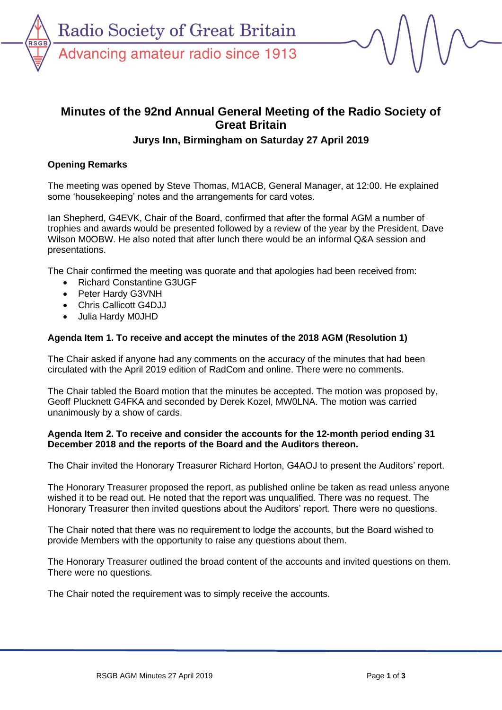

# **Minutes of the 92nd Annual General Meeting of the Radio Society of Great Britain**

## **Jurys Inn, Birmingham on Saturday 27 April 2019**

## **Opening Remarks**

The meeting was opened by Steve Thomas, M1ACB, General Manager, at 12:00. He explained some 'housekeeping' notes and the arrangements for card votes.

Ian Shepherd, G4EVK, Chair of the Board, confirmed that after the formal AGM a number of trophies and awards would be presented followed by a review of the year by the President, Dave Wilson M0OBW. He also noted that after lunch there would be an informal Q&A session and presentations.

The Chair confirmed the meeting was quorate and that apologies had been received from:

- Richard Constantine G3UGF
- Peter Hardy G3VNH
- Chris Callicott G4DJJ
- Julia Hardy M0JHD

## **Agenda Item 1. To receive and accept the minutes of the 2018 AGM (Resolution 1)**

The Chair asked if anyone had any comments on the accuracy of the minutes that had been circulated with the April 2019 edition of RadCom and online. There were no comments.

The Chair tabled the Board motion that the minutes be accepted. The motion was proposed by, Geoff Plucknett G4FKA and seconded by Derek Kozel, MW0LNA. The motion was carried unanimously by a show of cards.

#### **Agenda Item 2. To receive and consider the accounts for the 12-month period ending 31 December 2018 and the reports of the Board and the Auditors thereon.**

The Chair invited the Honorary Treasurer Richard Horton, G4AOJ to present the Auditors' report.

The Honorary Treasurer proposed the report, as published online be taken as read unless anyone wished it to be read out. He noted that the report was unqualified. There was no request. The Honorary Treasurer then invited questions about the Auditors' report. There were no questions.

The Chair noted that there was no requirement to lodge the accounts, but the Board wished to provide Members with the opportunity to raise any questions about them.

The Honorary Treasurer outlined the broad content of the accounts and invited questions on them. There were no questions.

The Chair noted the requirement was to simply receive the accounts.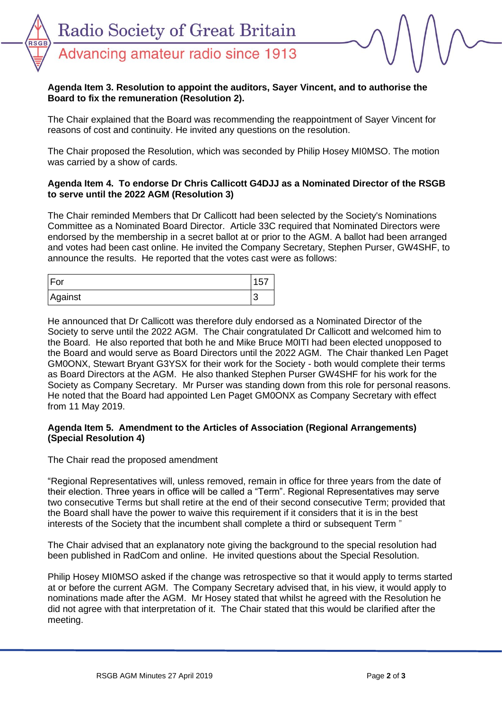RSG

#### **Agenda Item 3. Resolution to appoint the auditors, Sayer Vincent, and to authorise the Board to fix the remuneration (Resolution 2).**

The Chair explained that the Board was recommending the reappointment of Sayer Vincent for reasons of cost and continuity. He invited any questions on the resolution.

The Chair proposed the Resolution, which was seconded by Philip Hosey MI0MSO. The motion was carried by a show of cards.

### **Agenda Item 4. To endorse Dr Chris Callicott G4DJJ as a Nominated Director of the RSGB to serve until the 2022 AGM (Resolution 3)**

The Chair reminded Members that Dr Callicott had been selected by the Society's Nominations Committee as a Nominated Board Director. Article 33C required that Nominated Directors were endorsed by the membership in a secret ballot at or prior to the AGM. A ballot had been arranged and votes had been cast online. He invited the Company Secretary, Stephen Purser, GW4SHF, to announce the results. He reported that the votes cast were as follows:

| ∣ For   | בי     |
|---------|--------|
| Against | r<br>N |

He announced that Dr Callicott was therefore duly endorsed as a Nominated Director of the Society to serve until the 2022 AGM. The Chair congratulated Dr Callicott and welcomed him to the Board. He also reported that both he and Mike Bruce M0ITI had been elected unopposed to the Board and would serve as Board Directors until the 2022 AGM. The Chair thanked Len Paget GM0ONX, Stewart Bryant G3YSX for their work for the Society - both would complete their terms as Board Directors at the AGM. He also thanked Stephen Purser GW4SHF for his work for the Society as Company Secretary. Mr Purser was standing down from this role for personal reasons. He noted that the Board had appointed Len Paget GM0ONX as Company Secretary with effect from 11 May 2019.

#### **Agenda Item 5. Amendment to the Articles of Association (Regional Arrangements) (Special Resolution 4)**

#### The Chair read the proposed amendment

"Regional Representatives will, unless removed, remain in office for three years from the date of their election. Three years in office will be called a "Term". Regional Representatives may serve two consecutive Terms but shall retire at the end of their second consecutive Term; provided that the Board shall have the power to waive this requirement if it considers that it is in the best interests of the Society that the incumbent shall complete a third or subsequent Term "

The Chair advised that an explanatory note giving the background to the special resolution had been published in RadCom and online. He invited questions about the Special Resolution.

Philip Hosey MI0MSO asked if the change was retrospective so that it would apply to terms started at or before the current AGM. The Company Secretary advised that, in his view, it would apply to nominations made after the AGM. Mr Hosey stated that whilst he agreed with the Resolution he did not agree with that interpretation of it. The Chair stated that this would be clarified after the meeting.